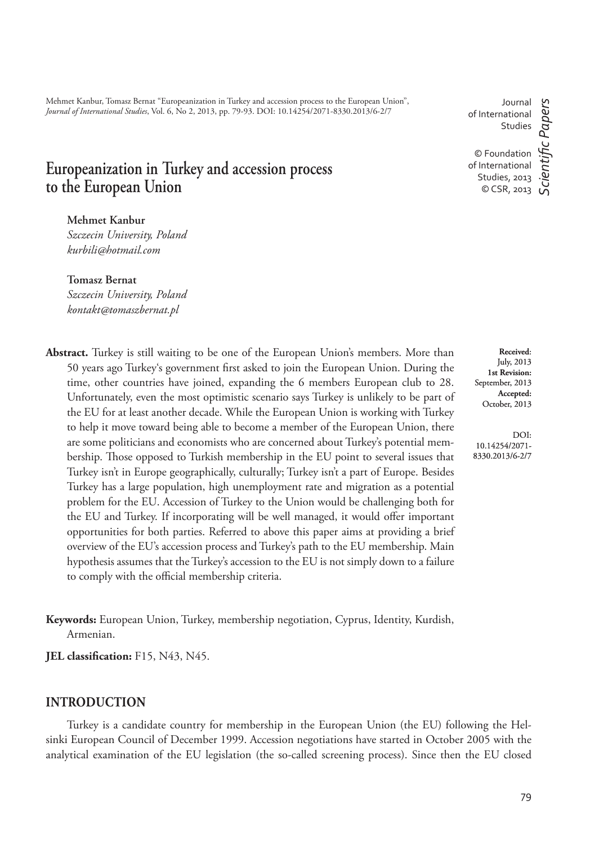Mehmet Kanbur, Tomasz Bernat "Europeanization in Turkey and accession process to the European Union", *Journal of International Studies*, Vol. 6, No 2, 2013, pp. 79-93. DOI: 10.14254/2071-8330.2013/6-2/7

# **Europeanization in Turkey and accession process to the European Union**

**Mehmet Kanbur**

*Szczecin University, Poland kurbili@hotmail.com*

**Tomasz Bernat** *Szczecin University, Poland kontakt@tomaszbernat.pl*

**Abstract.** Turkey is still waiting to be one of the European Union's members. More than 50 years ago Turkey's government first asked to join the European Union. During the time, other countries have joined, expanding the 6 members European club to 28. Unfortunately, even the most optimistic scenario says Turkey is unlikely to be part of the EU for at least another decade. While the European Union is working with Turkey to help it move toward being able to become a member of the European Union, there are some politicians and economists who are concerned about Turkey's potential membership. Those opposed to Turkish membership in the EU point to several issues that Turkey isn't in Europe geographically, culturally; Turkey isn't a part of Europe. Besides Turkey has a large population, high unemployment rate and migration as a potential problem for the EU. Accession of Turkey to the Union would be challenging both for the EU and Turkey. If incorporating will be well managed, it would offer important opportunities for both parties. Referred to above this paper aims at providing a brief overview of the EU's accession process and Turkey's path to the EU membership. Main hypothesis assumes that the Turkey's accession to the EU is not simply down to a failure to comply with the official membership criteria.

**Keywords:** European Union, Turkey, membership negotiation, Cyprus, Identity, Kurdish, Armenian.

**JEL classification:** F15, N43, N45.

## **INTRODUCTION**

Turkey is a candidate country for membership in the European Union (the EU) following the Helsinki European Council of December 1999. Accession negotiations have started in October 2005 with the analytical examination of the EU legislation (the so-called screening process). Since then the EU closed

Journal of International Studies

*ScientiÞ c Papers*

cientific Papers

© Foundation of International Studies, 2013 © CSR, 2013

**Received**: July, 2013 **1st Revision:**  September, 2013 **Accepted:**  October, 2013

DOI: 10.14254/2071- 8330.2013/6-2/7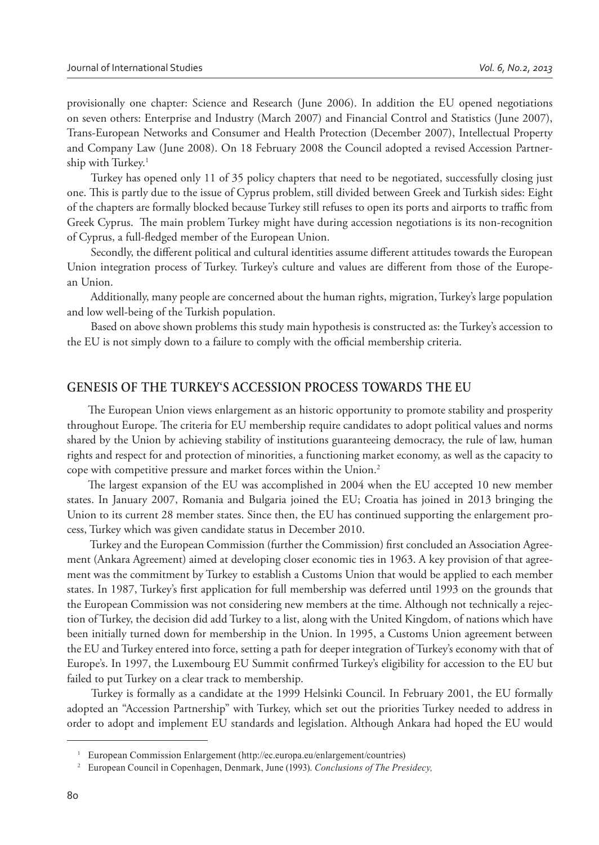provisionally one chapter: Science and Research (June 2006). In addition the EU opened negotiations on seven others: Enterprise and Industry (March 2007) and Financial Control and Statistics (June 2007), Trans-European Networks and Consumer and Health Protection (December 2007), Intellectual Property and Company Law (June 2008). On 18 February 2008 the Council adopted a revised Accession Partnership with Turkey.<sup>1</sup>

 Turkey has opened only 11 of 35 policy chapters that need to be negotiated, successfully closing just one. This is partly due to the issue of Cyprus problem, still divided between Greek and Turkish sides: Eight of the chapters are formally blocked because Turkey still refuses to open its ports and airports to traffic from Greek Cyprus. The main problem Turkey might have during accession negotiations is its non-recognition of Cyprus, a full-fledged member of the European Union.

Secondly, the different political and cultural identities assume different attitudes towards the European Union integration process of Turkey. Turkey's culture and values are different from those of the European Union.

 Additionally, many people are concerned about the human rights, migration, Turkey's large population and low well-being of the Turkish population.

 Based on above shown problems this study main hypothesis is constructed as: the Turkey's accession to the EU is not simply down to a failure to comply with the official membership criteria.

## **GENESIS OF THE TURKEY'S ACCESSION PROCESS TOWARDS THE EU**

The European Union views enlargement as an historic opportunity to promote stability and prosperity throughout Europe. The criteria for EU membership require candidates to adopt political values and norms shared by the Union by achieving stability of institutions guaranteeing democracy, the rule of law, human rights and respect for and protection of minorities, a functioning market economy, as well as the capacity to cope with competitive pressure and market forces within the Union.<sup>2</sup>

The largest expansion of the EU was accomplished in 2004 when the EU accepted 10 new member states. In January 2007, Romania and Bulgaria joined the EU; Croatia has joined in 2013 bringing the Union to its current 28 member states. Since then, the EU has continued supporting the enlargement process, Turkey which was given candidate status in December 2010.

Turkey and the European Commission (further the Commission) first concluded an Association Agreement (Ankara Agreement) aimed at developing closer economic ties in 1963. A key provision of that agreement was the commitment by Turkey to establish a Customs Union that would be applied to each member states. In 1987, Turkey's first application for full membership was deferred until 1993 on the grounds that the European Commission was not considering new members at the time. Although not technically a rejection of Turkey, the decision did add Turkey to a list, along with the United Kingdom, of nations which have been initially turned down for membership in the Union. In 1995, a Customs Union agreement between the EU and Turkey entered into force, setting a path for deeper integration of Turkey's economy with that of Europe's. In 1997, the Luxembourg EU Summit confirmed Turkey's eligibility for accession to the EU but failed to put Turkey on a clear track to membership.

 Turkey is formally as a candidate at the 1999 Helsinki Council. In February 2001, the EU formally adopted an "Accession Partnership" with Turkey, which set out the priorities Turkey needed to address in order to adopt and implement EU standards and legislation. Although Ankara had hoped the EU would

<sup>&</sup>lt;sup>1</sup> European Commission Enlargement (http://ec.europa.eu/enlargement/countries)

<sup>2</sup> European Council in Copenhagen, Denmark, June (1993). *Conclusions of The Presidecy,*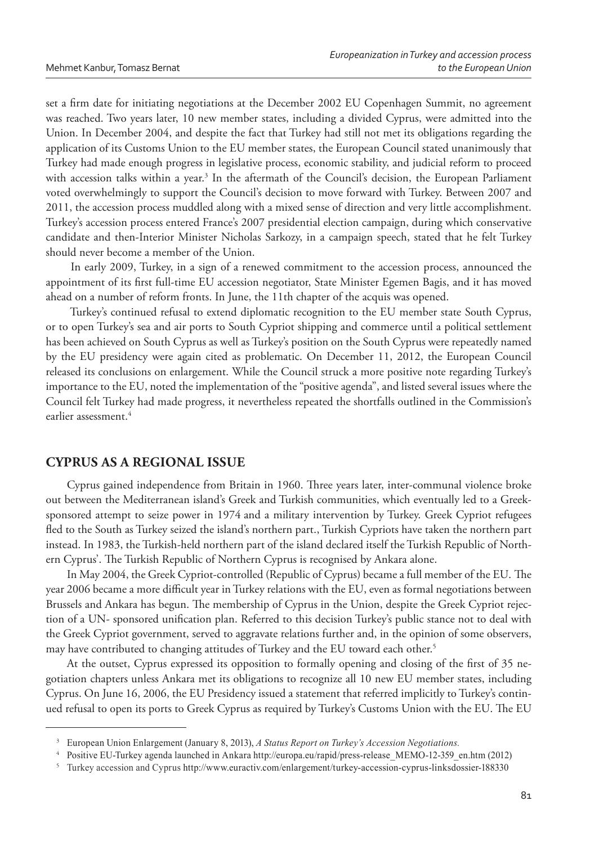set a firm date for initiating negotiations at the December 2002 EU Copenhagen Summit, no agreement was reached. Two years later, 10 new member states, including a divided Cyprus, were admitted into the Union. In December 2004, and despite the fact that Turkey had still not met its obligations regarding the application of its Customs Union to the EU member states, the European Council stated unanimously that Turkey had made enough progress in legislative process, economic stability, and judicial reform to proceed with accession talks within a year.<sup>3</sup> In the aftermath of the Council's decision, the European Parliament voted overwhelmingly to support the Council's decision to move forward with Turkey. Between 2007 and 2011, the accession process muddled along with a mixed sense of direction and very little accomplishment. Turkey's accession process entered France's 2007 presidential election campaign, during which conservative candidate and then-Interior Minister Nicholas Sarkozy, in a campaign speech, stated that he felt Turkey should never become a member of the Union.

 In early 2009, Turkey, in a sign of a renewed commitment to the accession process, announced the appointment of its first full-time EU accession negotiator, State Minister Egemen Bagis, and it has moved ahead on a number of reform fronts. In June, the 11th chapter of the acquis was opened.

 Turkey's continued refusal to extend diplomatic recognition to the EU member state South Cyprus, or to open Turkey's sea and air ports to South Cypriot shipping and commerce until a political settlement has been achieved on South Cyprus as well as Turkey's position on the South Cyprus were repeatedly named by the EU presidency were again cited as problematic. On December 11, 2012, the European Council released its conclusions on enlargement. While the Council struck a more positive note regarding Turkey's importance to the EU, noted the implementation of the "positive agenda", and listed several issues where the Council felt Turkey had made progress, it nevertheless repeated the shortfalls outlined in the Commission's earlier assessment.<sup>4</sup>

## **CYPRUS AS A REGIONAL ISSUE**

Cyprus gained independence from Britain in 1960. Three years later, inter-communal violence broke out between the Mediterranean island's Greek and Turkish communities, which eventually led to a Greeksponsored attempt to seize power in 1974 and a military intervention by Turkey. Greek Cypriot refugees fled to the South as Turkey seized the island's northern part., Turkish Cypriots have taken the northern part instead. In 1983, the Turkish-held northern part of the island declared itself the Turkish Republic of Northern Cyprus'. The Turkish Republic of Northern Cyprus is recognised by Ankara alone.

In May 2004, the Greek Cypriot-controlled (Republic of Cyprus) became a full member of the EU. The year 2006 became a more difficult year in Turkey relations with the EU, even as formal negotiations between Brussels and Ankara has begun. The membership of Cyprus in the Union, despite the Greek Cypriot rejection of a UN- sponsored unification plan. Referred to this decision Turkey's public stance not to deal with the Greek Cypriot government, served to aggravate relations further and, in the opinion of some observers, may have contributed to changing attitudes of Turkey and the EU toward each other.<sup>5</sup>

At the outset, Cyprus expressed its opposition to formally opening and closing of the first of 35 negotiation chapters unless Ankara met its obligations to recognize all 10 new EU member states, including Cyprus. On June 16, 2006, the EU Presidency issued a statement that referred implicitly to Turkey's continued refusal to open its ports to Greek Cyprus as required by Turkey's Customs Union with the EU. The EU

<sup>3</sup>European Union Enlargement (January 8, 2013), *A Status Report on Turkey's Accession Negotiations.*

<sup>4</sup>Positive EU-Turkey agenda launched in Ankara http://europa.eu/rapid/press-release\_MEMO-12-359\_en.htm (2012)

<sup>5</sup> Turkey accession and Cyprus http://www.euractiv.com/enlargement/turkey-accession-cyprus-linksdossier-188330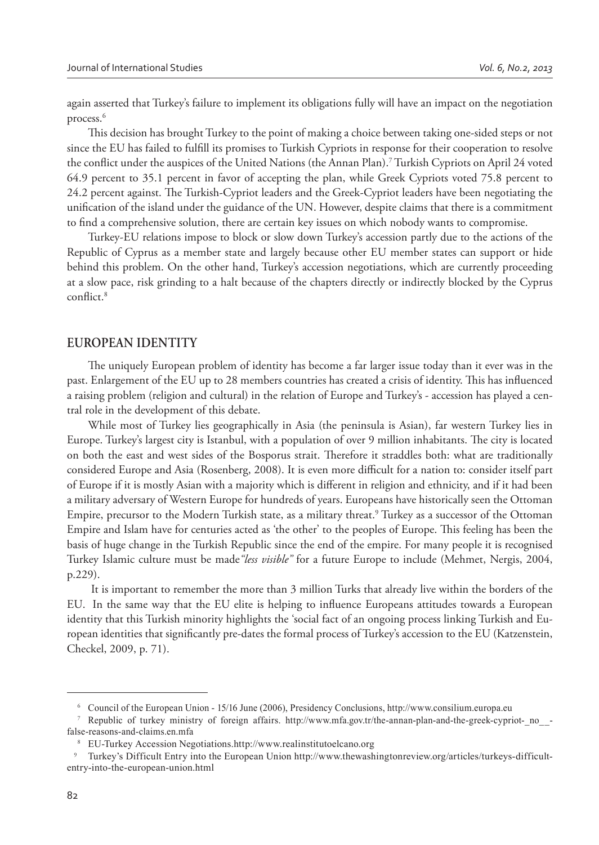again asserted that Turkey's failure to implement its obligations fully will have an impact on the negotiation process.<sup>6</sup>

This decision has brought Turkey to the point of making a choice between taking one-sided steps or not since the EU has failed to fulfill its promises to Turkish Cypriots in response for their cooperation to resolve the conflict under the auspices of the United Nations (the Annan Plan).<sup>7</sup> Turkish Cypriots on April 24 voted 64.9 percent to 35.1 percent in favor of accepting the plan, while Greek Cypriots voted 75.8 percent to 24.2 percent against. The Turkish-Cypriot leaders and the Greek-Cypriot leaders have been negotiating the unification of the island under the guidance of the UN. However, despite claims that there is a commitment to find a comprehensive solution, there are certain key issues on which nobody wants to compromise.

Turkey-EU relations impose to block or slow down Turkey's accession partly due to the actions of the Republic of Cyprus as a member state and largely because other EU member states can support or hide behind this problem. On the other hand, Turkey's accession negotiations, which are currently proceeding at a slow pace, risk grinding to a halt because of the chapters directly or indirectly blocked by the Cyprus conflict.<sup>8</sup>

## **EUROPEAN IDENTITY**

The uniquely European problem of identity has become a far larger issue today than it ever was in the past. Enlargement of the EU up to 28 members countries has created a crisis of identity. This has influenced a raising problem (religion and cultural) in the relation of Europe and Turkey's - accession has played a central role in the development of this debate.

While most of Turkey lies geographically in Asia (the peninsula is Asian), far western Turkey lies in Europe. Turkey's largest city is Istanbul, with a population of over 9 million inhabitants. The city is located on both the east and west sides of the Bosporus strait. Therefore it straddles both: what are traditionally considered Europe and Asia (Rosenberg, 2008). It is even more difficult for a nation to: consider itself part of Europe if it is mostly Asian with a majority which is different in religion and ethnicity, and if it had been a military adversary of Western Europe for hundreds of years. Europeans have historically seen the Ottoman Empire, precursor to the Modern Turkish state, as a military threat.<sup>9</sup> Turkey as a successor of the Ottoman Empire and Islam have for centuries acted as 'the other' to the peoples of Europe. This feeling has been the basis of huge change in the Turkish Republic since the end of the empire. For many people it is recognised Turkey Islamic culture must be made*"less visible"* for a future Europe to include (Mehmet, Nergis, 2004, p.229).

 It is important to remember the more than 3 million Turks that already live within the borders of the EU. In the same way that the EU elite is helping to influence Europeans attitudes towards a European identity that this Turkish minority highlights the 'social fact of an ongoing process linking Turkish and European identities that significantly pre-dates the formal process of Turkey's accession to the EU (Katzenstein, Checkel, 2009, p. 71).

<sup>6</sup>Council of the European Union - 15/16 June (2006), Presidency Conclusions, http://www.consilium.europa.eu

<sup>7</sup>Republic of turkey ministry of foreign affairs. http://www.mfa.gov.tr/the-annan-plan-and-the-greek-cypriot-\_no\_\_ false-reasons-and-claims.en.mfa

<sup>8</sup> EU-Turkey Accession Negotiations.http://www.realinstitutoelcano.org

<sup>9</sup> Turkey's Difficult Entry into the European Union http://www.thewashingtonreview.org/articles/turkeys-difficultentry-into-the-european-union.html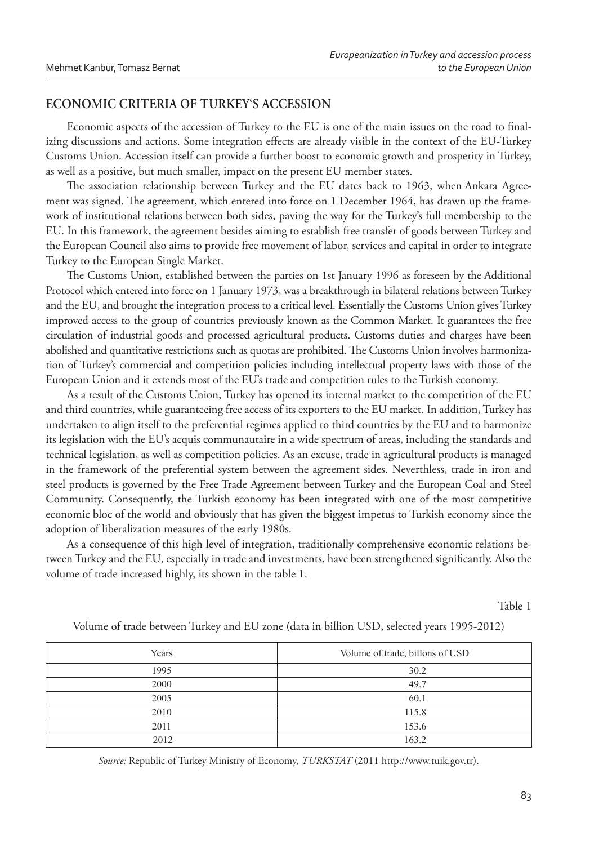# **ECONOMIC CRITERIA OF TURKEY'S ACCESSION**

Economic aspects of the accession of Turkey to the EU is one of the main issues on the road to finalizing discussions and actions. Some integration effects are already visible in the context of the EU-Turkey Customs Union. Accession itself can provide a further boost to economic growth and prosperity in Turkey, as well as a positive, but much smaller, impact on the present EU member states.

The association relationship between Turkey and the EU dates back to 1963, when Ankara Agreement was signed. The agreement, which entered into force on 1 December 1964, has drawn up the framework of institutional relations between both sides, paving the way for the Turkey's full membership to the EU. In this framework, the agreement besides aiming to establish free transfer of goods between Turkey and the European Council also aims to provide free movement of labor, services and capital in order to integrate Turkey to the European Single Market.

The Customs Union, established between the parties on 1st January 1996 as foreseen by the Additional Protocol which entered into force on 1 January 1973, was a breakthrough in bilateral relations between Turkey and the EU, and brought the integration process to a critical level. Essentially the Customs Union gives Turkey improved access to the group of countries previously known as the Common Market. It guarantees the free circulation of industrial goods and processed agricultural products. Customs duties and charges have been abolished and quantitative restrictions such as quotas are prohibited. The Customs Union involves harmonization of Turkey's commercial and competition policies including intellectual property laws with those of the European Union and it extends most of the EU's trade and competition rules to the Turkish economy.

As a result of the Customs Union, Turkey has opened its internal market to the competition of the EU and third countries, while guaranteeing free access of its exporters to the EU market. In addition, Turkey has undertaken to align itself to the preferential regimes applied to third countries by the EU and to harmonize its legislation with the EU's acquis communautaire in a wide spectrum of areas, including the standards and technical legislation, as well as competition policies. As an excuse, trade in agricultural products is managed in the framework of the preferential system between the agreement sides. Neverthless, trade in iron and steel products is governed by the Free Trade Agreement between Turkey and the European Coal and Steel Community. Consequently, the Turkish economy has been integrated with one of the most competitive economic bloc of the world and obviously that has given the biggest impetus to Turkish economy since the adoption of liberalization measures of the early 1980s.

As a consequence of this high level of integration, traditionally comprehensive economic relations between Turkey and the EU, especially in trade and investments, have been strengthened significantly. Also the volume of trade increased highly, its shown in the table 1.

Table 1

| Years | Volume of trade, billons of USD |
|-------|---------------------------------|
| 1995  | 30.2                            |
| 2000  | 49.7                            |
| 2005  | 60.1                            |
| 2010  | 115.8                           |
| 2011  | 153.6                           |
| 2012  | 163.2                           |

Volume of trade between Turkey and EU zone (data in billion USD, selected years 1995-2012)

*Source:* Republic of Turkey Ministry of Economy, *TURKSTAT* (2011 http://www.tuik.gov.tr).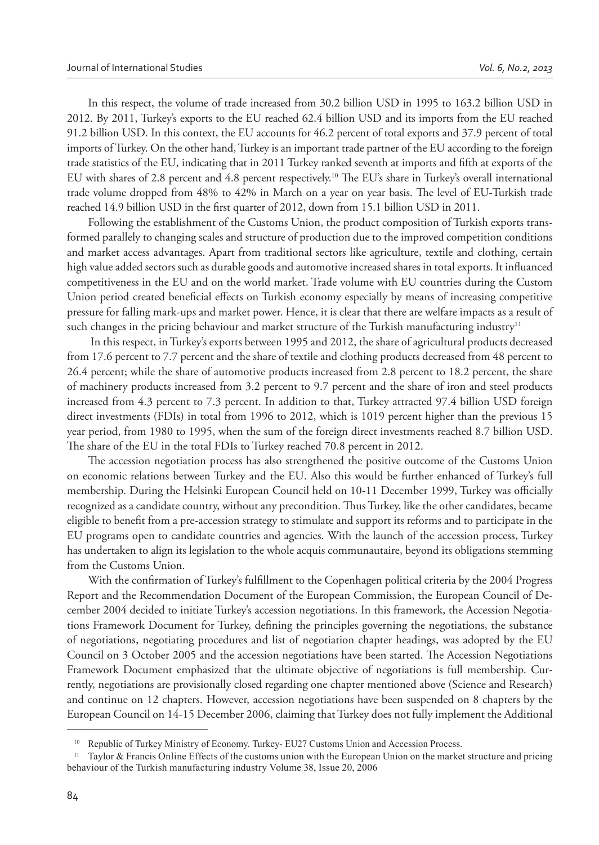In this respect, the volume of trade increased from 30.2 billion USD in 1995 to 163.2 billion USD in 2012. By 2011, Turkey's exports to the EU reached 62.4 billion USD and its imports from the EU reached 91.2 billion USD. In this context, the EU accounts for 46.2 percent of total exports and 37.9 percent of total imports of Turkey. On the other hand, Turkey is an important trade partner of the EU according to the foreign trade statistics of the EU, indicating that in 2011 Turkey ranked seventh at imports and fifth at exports of the EU with shares of 2.8 percent and 4.8 percent respectively.<sup>10</sup> The EU's share in Turkey's overall international trade volume dropped from 48% to 42% in March on a year on year basis. The level of EU-Turkish trade reached 14.9 billion USD in the first quarter of 2012, down from 15.1 billion USD in 2011.

Following the establishment of the Customs Union, the product composition of Turkish exports transformed parallely to changing scales and structure of production due to the improved competition conditions and market access advantages. Apart from traditional sectors like agriculture, textile and clothing, certain high value added sectors such as durable goods and automotive increased shares in total exports. It influanced competitiveness in the EU and on the world market. Trade volume with EU countries during the Custom Union period created beneficial effects on Turkish economy especially by means of increasing competitive pressure for falling mark-ups and market power. Hence, it is clear that there are welfare impacts as a result of such changes in the pricing behaviour and market structure of the Turkish manufacturing industry<sup>11</sup>

 In this respect, in Turkey's exports between 1995 and 2012, the share of agricultural products decreased from 17.6 percent to 7.7 percent and the share of textile and clothing products decreased from 48 percent to 26.4 percent; while the share of automotive products increased from 2.8 percent to 18.2 percent, the share of machinery products increased from 3.2 percent to 9.7 percent and the share of iron and steel products increased from 4.3 percent to 7.3 percent. In addition to that, Turkey attracted 97.4 billion USD foreign direct investments (FDIs) in total from 1996 to 2012, which is 1019 percent higher than the previous 15 year period, from 1980 to 1995, when the sum of the foreign direct investments reached 8.7 billion USD. The share of the EU in the total FDIs to Turkey reached 70.8 percent in 2012.

The accession negotiation process has also strengthened the positive outcome of the Customs Union on economic relations between Turkey and the EU. Also this would be further enhanced of Turkey's full membership. During the Helsinki European Council held on 10-11 December 1999, Turkey was officially recognized as a candidate country, without any precondition. Thus Turkey, like the other candidates, became eligible to benefi t from a pre-accession strategy to stimulate and support its reforms and to participate in the EU programs open to candidate countries and agencies. With the launch of the accession process, Turkey has undertaken to align its legislation to the whole acquis communautaire, beyond its obligations stemming from the Customs Union.

With the confirmation of Turkey's fulfillment to the Copenhagen political criteria by the 2004 Progress Report and the Recommendation Document of the European Commission, the European Council of December 2004 decided to initiate Turkey's accession negotiations. In this framework, the Accession Negotiations Framework Document for Turkey, defining the principles governing the negotiations, the substance of negotiations, negotiating procedures and list of negotiation chapter headings, was adopted by the EU Council on 3 October 2005 and the accession negotiations have been started. The Accession Negotiations Framework Document emphasized that the ultimate objective of negotiations is full membership. Currently, negotiations are provisionally closed regarding one chapter mentioned above (Science and Research) and continue on 12 chapters. However, accession negotiations have been suspended on 8 chapters by the European Council on 14-15 December 2006, claiming that Turkey does not fully implement the Additional

Republic of Turkey Ministry of Economy. Turkey- EU27 Customs Union and Accession Process.

<sup>&</sup>lt;sup>11</sup> Taylor & Francis Online Effects of the customs union with the European Union on the market structure and pricing behaviour of the Turkish manufacturing industry Volume 38, Issue 20, 2006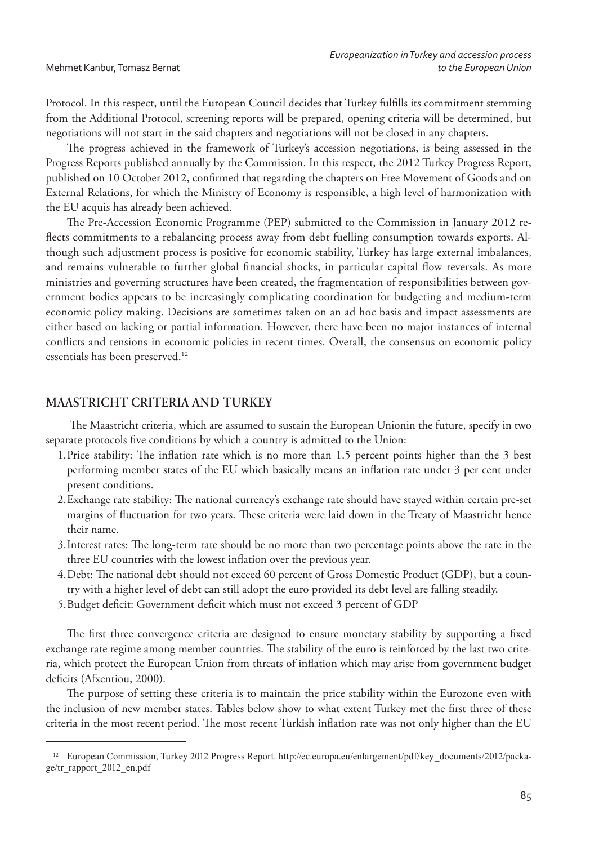Protocol. In this respect, until the European Council decides that Turkey fulfills its commitment stemming from the Additional Protocol, screening reports will be prepared, opening criteria will be determined, but negotiations will not start in the said chapters and negotiations will not be closed in any chapters.

The progress achieved in the framework of Turkey's accession negotiations, is being assessed in the Progress Reports published annually by the Commission. In this respect, the 2012 Turkey Progress Report, published on 10 October 2012, confirmed that regarding the chapters on Free Movement of Goods and on External Relations, for which the Ministry of Economy is responsible, a high level of harmonization with the EU acquis has already been achieved.

The Pre-Accession Economic Programme (PEP) submitted to the Commission in January 2012 reflects commitments to a rebalancing process away from debt fuelling consumption towards exports. Although such adjustment process is positive for economic stability, Turkey has large external imbalances, and remains vulnerable to further global financial shocks, in particular capital flow reversals. As more ministries and governing structures have been created, the fragmentation of responsibilities between government bodies appears to be increasingly complicating coordination for budgeting and medium-term economic policy making. Decisions are sometimes taken on an ad hoc basis and impact assessments are either based on lacking or partial information. However, there have been no major instances of internal conflicts and tensions in economic policies in recent times. Overall, the consensus on economic policy essentials has been preserved.<sup>12</sup>

# **MAASTRICHT CRITERIA AND TURKEY**

The Maastricht criteria, which are assumed to sustain the European Unionin the future, specify in two separate protocols five conditions by which a country is admitted to the Union:

- 1. Price stability: The inflation rate which is no more than 1.5 percent points higher than the 3 best performing member states of the EU which basically means an inflation rate under 3 per cent under present conditions.
- 2. Exchange rate stability: The national currency's exchange rate should have stayed within certain pre-set margins of fluctuation for two years. These criteria were laid down in the Treaty of Maastricht hence their name.
- 3. Interest rates: The long-term rate should be no more than two percentage points above the rate in the three EU countries with the lowest inflation over the previous year.
- 4. Debt: The national debt should not exceed 60 percent of Gross Domestic Product (GDP), but a country with a higher level of debt can still adopt the euro provided its debt level are falling steadily.
- 5. Budget deficit: Government deficit which must not exceed 3 percent of GDP

The first three convergence criteria are designed to ensure monetary stability by supporting a fixed exchange rate regime among member countries. The stability of the euro is reinforced by the last two criteria, which protect the European Union from threats of inflation which may arise from government budget deficits (Afxentiou, 2000).

The purpose of setting these criteria is to maintain the price stability within the Eurozone even with the inclusion of new member states. Tables below show to what extent Turkey met the first three of these criteria in the most recent period. The most recent Turkish inflation rate was not only higher than the EU

<sup>12</sup> European Commission, Turkey 2012 Progress Report. http://ec.europa.eu/enlargement/pdf/key\_documents/2012/package/tr\_rapport\_2012\_en.pdf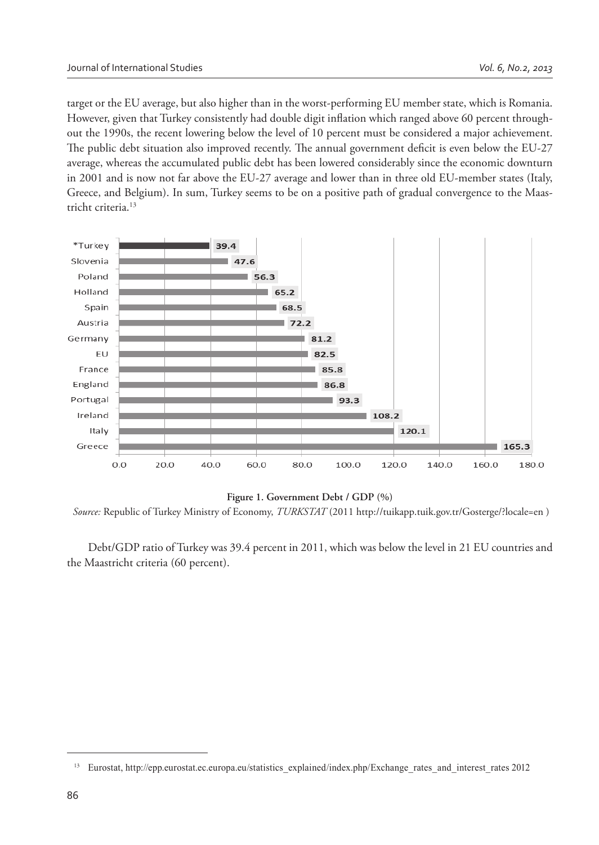target or the EU average, but also higher than in the worst-performing EU member state, which is Romania. However, given that Turkey consistently had double digit inflation which ranged above 60 percent throughout the 1990s, the recent lowering below the level of 10 percent must be considered a major achievement. The public debt situation also improved recently. The annual government deficit is even below the EU-27 average, whereas the accumulated public debt has been lowered considerably since the economic downturn in 2001 and is now not far above the EU-27 average and lower than in three old EU-member states (Italy, Greece, and Belgium). In sum, Turkey seems to be on a positive path of gradual convergence to the Maastricht criteria.<sup>13</sup>



#### **Figure 1. Government Debt / GDP (%)**

 *Source:* Republic of Turkey Ministry of Economy, *TURKSTAT* (2011 http://tuikapp.tuik.gov.tr/Gosterge/?locale=en )

Debt/GDP ratio of Turkey was 39.4 percent in 2011, which was below the level in 21 EU countries and the Maastricht criteria (60 percent).

<sup>&</sup>lt;sup>13</sup> Eurostat, http://epp.eurostat.ec.europa.eu/statistics\_explained/index.php/Exchange\_rates\_and\_interest\_rates 2012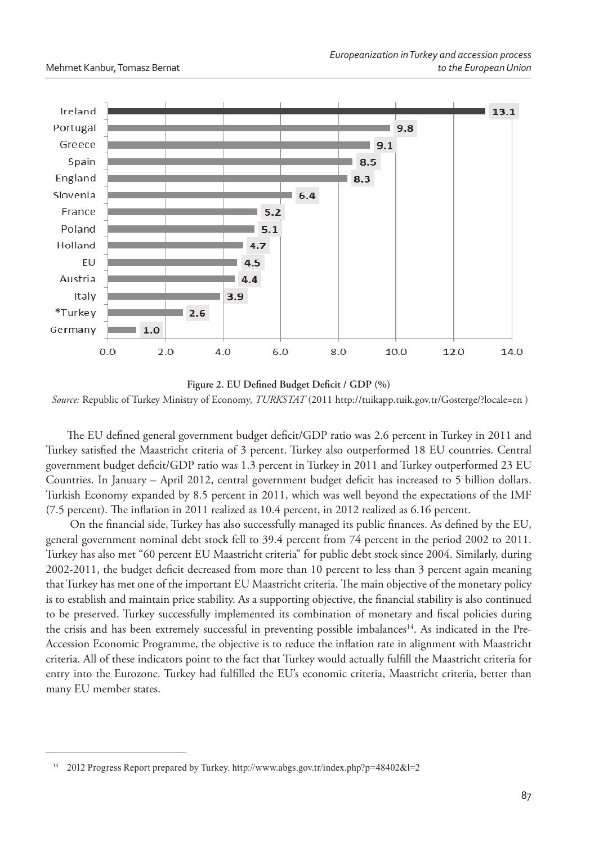

Figure 2. EU Defined Budget Deficit / GDP (%) *Source:* Republic of Turkey Ministry of Economy, *TURKSTAT* (2011 http://tuikapp.tuik.gov.tr/Gosterge/?locale=en )

The EU defined general government budget deficit/GDP ratio was 2.6 percent in Turkey in 2011 and Turkey satisfied the Maastricht criteria of 3 percent. Turkey also outperformed 18 EU countries. Central government budget deficit/GDP ratio was 1.3 percent in Turkey in 2011 and Turkey outperformed 23 EU Countries. In January – April 2012, central government budget deficit has increased to 5 billion dollars. Turkish Economy expanded by 8.5 percent in 2011, which was well beyond the expectations of the IMF  $(7.5$  percent). The inflation in 2011 realized as 10.4 percent, in 2012 realized as  $6.16$  percent.

On the financial side, Turkey has also successfully managed its public finances. As defined by the EU, general government nominal debt stock fell to 39.4 percent from 74 percent in the period 2002 to 2011. Turkey has also met "60 percent EU Maastricht criteria" for public debt stock since 2004. Similarly, during 2002-2011, the budget deficit decreased from more than 10 percent to less than 3 percent again meaning that Turkey has met one of the important EU Maastricht criteria. The main objective of the monetary policy is to establish and maintain price stability. As a supporting objective, the financial stability is also continued to be preserved. Turkey successfully implemented its combination of monetary and fiscal policies during the crisis and has been extremely successful in preventing possible imbalances<sup>14</sup>. As indicated in the Pre-Accession Economic Programme, the objective is to reduce the inflation rate in alignment with Maastricht criteria. All of these indicators point to the fact that Turkey would actually fulfill the Maastricht criteria for entry into the Eurozone. Turkey had fulfilled the EU's economic criteria, Maastricht criteria, better than many EU member states.

<sup>14</sup> 2012 Progress Report prepared by Turkey. http://www.abgs.gov.tr/index.php?p=48402&l=2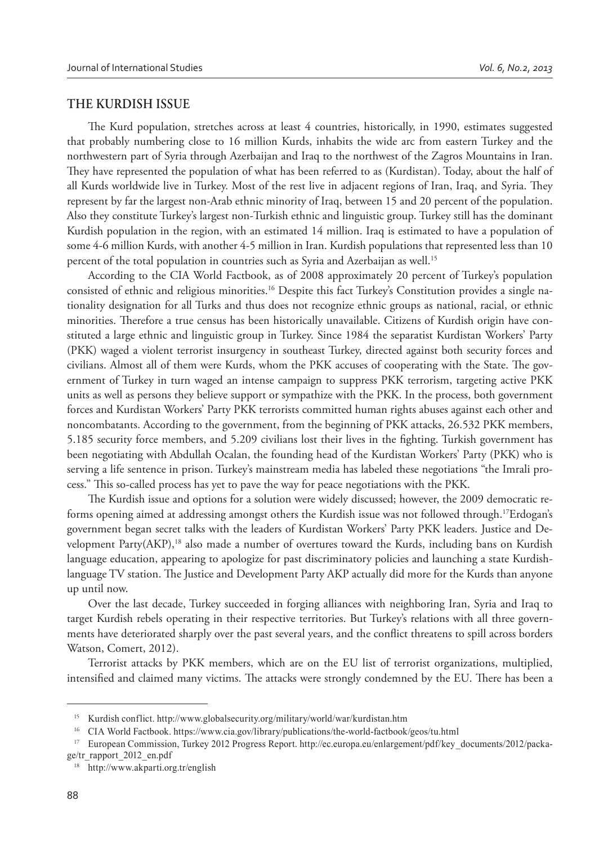#### **THE KURDISH ISSUE**

The Kurd population, stretches across at least 4 countries, historically, in 1990, estimates suggested that probably numbering close to 16 million Kurds, inhabits the wide arc from eastern Turkey and the northwestern part of Syria through Azerbaijan and Iraq to the northwest of the Zagros Mountains in Iran. They have represented the population of what has been referred to as (Kurdistan). Today, about the half of all Kurds worldwide live in Turkey. Most of the rest live in adjacent regions of Iran, Iraq, and Syria. They represent by far the largest non-Arab ethnic minority of Iraq, between 15 and 20 percent of the population. Also they constitute Turkey's largest non-Turkish ethnic and linguistic group. Turkey still has the dominant Kurdish population in the region, with an estimated 14 million. Iraq is estimated to have a population of some 4-6 million Kurds, with another 4-5 million in Iran. Kurdish populations that represented less than 10 percent of the total population in countries such as Syria and Azerbaijan as well.<sup>15</sup>

According to the CIA World Factbook, as of 2008 approximately 20 percent of Turkey's population consisted of ethnic and religious minorities.16 Despite this fact Turkey's Constitution provides a single nationality designation for all Turks and thus does not recognize ethnic groups as national, racial, or ethnic minorities. Therefore a true census has been historically unavailable. Citizens of Kurdish origin have constituted a large ethnic and linguistic group in Turkey. Since 1984 the separatist Kurdistan Workers' Party (PKK) waged a violent terrorist insurgency in southeast Turkey, directed against both security forces and civilians. Almost all of them were Kurds, whom the PKK accuses of cooperating with the State. The government of Turkey in turn waged an intense campaign to suppress PKK terrorism, targeting active PKK units as well as persons they believe support or sympathize with the PKK. In the process, both government forces and Kurdistan Workers' Party PKK terrorists committed human rights abuses against each other and noncombatants. According to the government, from the beginning of PKK attacks, 26.532 PKK members, 5.185 security force members, and 5.209 civilians lost their lives in the fighting. Turkish government has been negotiating with Abdullah Ocalan, the founding head of the Kurdistan Workers' Party (PKK) who is serving a life sentence in prison. Turkey's mainstream media has labeled these negotiations "the Imrali process." This so-called process has yet to pave the way for peace negotiations with the PKK.

The Kurdish issue and options for a solution were widely discussed; however, the 2009 democratic reforms opening aimed at addressing amongst others the Kurdish issue was not followed through.<sup>17</sup>Erdogan's government began secret talks with the leaders of Kurdistan Workers' Party PKK leaders. Justice and Development Party(AKP),<sup>18</sup> also made a number of overtures toward the Kurds, including bans on Kurdish language education, appearing to apologize for past discriminatory policies and launching a state Kurdishlanguage TV station. The Justice and Development Party AKP actually did more for the Kurds than anyone up until now.

Over the last decade, Turkey succeeded in forging alliances with neighboring Iran, Syria and Iraq to target Kurdish rebels operating in their respective territories. But Turkey's relations with all three governments have deteriorated sharply over the past several years, and the conflict threatens to spill across borders Watson, Comert, 2012).

Terrorist attacks by PKK members, which are on the EU list of terrorist organizations, multiplied, intensified and claimed many victims. The attacks were strongly condemned by the EU. There has been a

<sup>&</sup>lt;sup>15</sup> Kurdish conflict. http://www.globalsecurity.org/military/world/war/kurdistan.htm

<sup>&</sup>lt;sup>16</sup> CIA World Factbook. https://www.cia.gov/library/publications/the-world-factbook/geos/tu.html

<sup>17</sup> European Commission, Turkey 2012 Progress Report. http://ec.europa.eu/enlargement/pdf/key\_documents/2012/packa-

ge/tr\_rapport\_2012\_en.pdf 18 http://www.akparti.org.tr/english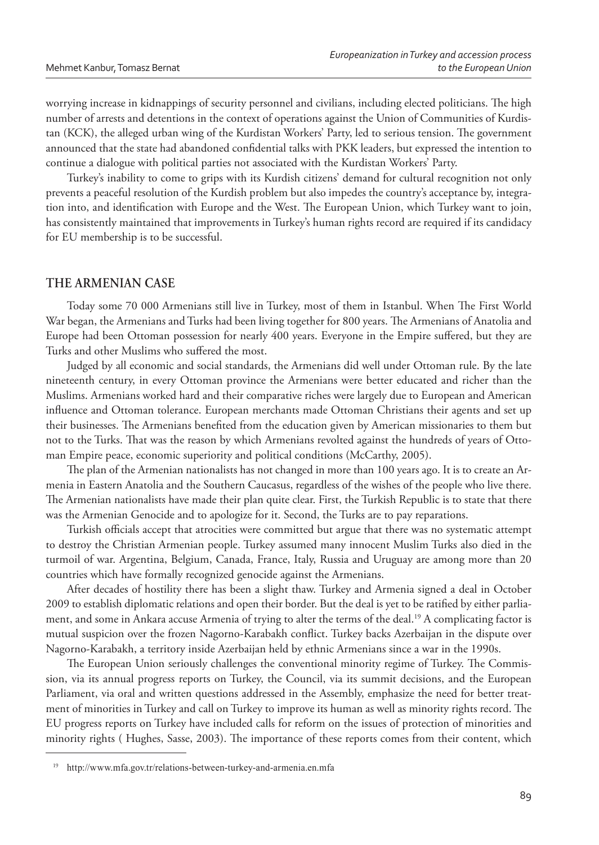worrying increase in kidnappings of security personnel and civilians, including elected politicians. The high number of arrests and detentions in the context of operations against the Union of Communities of Kurdistan (KCK), the alleged urban wing of the Kurdistan Workers' Party, led to serious tension. The government announced that the state had abandoned confidential talks with PKK leaders, but expressed the intention to continue a dialogue with political parties not associated with the Kurdistan Workers' Party.

Turkey's inability to come to grips with its Kurdish citizens' demand for cultural recognition not only prevents a peaceful resolution of the Kurdish problem but also impedes the country's acceptance by, integration into, and identification with Europe and the West. The European Union, which Turkey want to join, has consistently maintained that improvements in Turkey's human rights record are required if its candidacy for EU membership is to be successful.

# **THE ARMENIAN CASE**

Today some 70 000 Armenians still live in Turkey, most of them in Istanbul. When The First World War began, the Armenians and Turks had been living together for 800 years. The Armenians of Anatolia and Europe had been Ottoman possession for nearly 400 years. Everyone in the Empire suffered, but they are Turks and other Muslims who suffered the most.

Judged by all economic and social standards, the Armenians did well under Ottoman rule. By the late nineteenth century, in every Ottoman province the Armenians were better educated and richer than the Muslims. Armenians worked hard and their comparative riches were largely due to European and American influence and Ottoman tolerance. European merchants made Ottoman Christians their agents and set up their businesses. The Armenians benefited from the education given by American missionaries to them but not to the Turks. That was the reason by which Armenians revolted against the hundreds of years of Ottoman Empire peace, economic superiority and political conditions (McCarthy, 2005).

The plan of the Armenian nationalists has not changed in more than 100 years ago. It is to create an Armenia in Eastern Anatolia and the Southern Caucasus, regardless of the wishes of the people who live there. The Armenian nationalists have made their plan quite clear. First, the Turkish Republic is to state that there was the Armenian Genocide and to apologize for it. Second, the Turks are to pay reparations.

Turkish officials accept that atrocities were committed but argue that there was no systematic attempt to destroy the Christian Armenian people. Turkey assumed many innocent Muslim Turks also died in the turmoil of war. Argentina, Belgium, Canada, France, Italy, Russia and Uruguay are among more than 20 countries which have formally recognized genocide against the Armenians.

After decades of hostility there has been a slight thaw. Turkey and Armenia signed a deal in October 2009 to establish diplomatic relations and open their border. But the deal is yet to be ratified by either parliament, and some in Ankara accuse Armenia of trying to alter the terms of the deal.<sup>19</sup> A complicating factor is mutual suspicion over the frozen Nagorno-Karabakh conflict. Turkey backs Azerbaijan in the dispute over Nagorno-Karabakh, a territory inside Azerbaijan held by ethnic Armenians since a war in the 1990s.

The European Union seriously challenges the conventional minority regime of Turkey. The Commission, via its annual progress reports on Turkey, the Council, via its summit decisions, and the European Parliament, via oral and written questions addressed in the Assembly, emphasize the need for better treatment of minorities in Turkey and call on Turkey to improve its human as well as minority rights record. The EU progress reports on Turkey have included calls for reform on the issues of protection of minorities and minority rights (Hughes, Sasse, 2003). The importance of these reports comes from their content, which

http://www.mfa.gov.tr/relations-between-turkey-and-armenia.en.mfa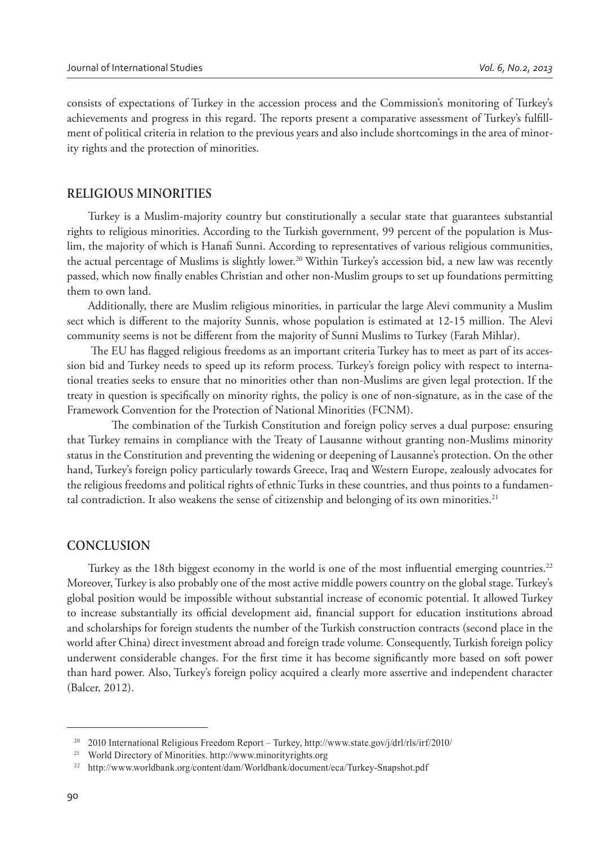consists of expectations of Turkey in the accession process and the Commission's monitoring of Turkey's achievements and progress in this regard. The reports present a comparative assessment of Turkey's fulfillment of political criteria in relation to the previous years and also include shortcomings in the area of minority rights and the protection of minorities.

#### **RELIGIOUS MINORITIES**

Turkey is a Muslim-majority country but constitutionally a secular state that guarantees substantial rights to religious minorities. According to the Turkish government, 99 percent of the population is Muslim, the majority of which is Hanafi Sunni. According to representatives of various religious communities, the actual percentage of Muslims is slightly lower.<sup>20</sup> Within Turkey's accession bid, a new law was recently passed, which now finally enables Christian and other non-Muslim groups to set up foundations permitting them to own land.

Additionally, there are Muslim religious minorities, in particular the large Alevi community a Muslim sect which is different to the majority Sunnis, whose population is estimated at 12-15 million. The Alevi community seems is not be different from the majority of Sunni Muslims to Turkey (Farah Mihlar).

The EU has flagged religious freedoms as an important criteria Turkey has to meet as part of its accession bid and Turkey needs to speed up its reform process. Turkey's foreign policy with respect to international treaties seeks to ensure that no minorities other than non-Muslims are given legal protection. If the treaty in question is specifically on minority rights, the policy is one of non-signature, as in the case of the Framework Convention for the Protection of National Minorities (FCNM).

The combination of the Turkish Constitution and foreign policy serves a dual purpose: ensuring that Turkey remains in compliance with the Treaty of Lausanne without granting non-Muslims minority status in the Constitution and preventing the widening or deepening of Lausanne's protection. On the other hand, Turkey's foreign policy particularly towards Greece, Iraq and Western Europe, zealously advocates for the religious freedoms and political rights of ethnic Turks in these countries, and thus points to a fundamental contradiction. It also weakens the sense of citizenship and belonging of its own minorities.<sup>21</sup>

#### **CONCLUSION**

Turkey as the 18th biggest economy in the world is one of the most influential emerging countries.<sup>22</sup> Moreover, Turkey is also probably one of the most active middle powers country on the global stage. Turkey's global position would be impossible without substantial increase of economic potential. It allowed Turkey to increase substantially its official development aid, financial support for education institutions abroad and scholarships for foreign students the number of the Turkish construction contracts (second place in the world after China) direct investment abroad and foreign trade volume. Consequently, Turkish foreign policy underwent considerable changes. For the first time it has become significantly more based on soft power than hard power. Also, Turkey's foreign policy acquired a clearly more assertive and independent character (Balcer, 2012).

<sup>&</sup>lt;sup>20</sup> 2010 International Religious Freedom Report – Turkey, http://www.state.gov/j/drl/rls/irf/2010/

<sup>&</sup>lt;sup>21</sup> World Directory of Minorities. http://www.minorityrights.org

<sup>22</sup> http://www.worldbank.org/content/dam/Worldbank/document/eca/Turkey-Snapshot.pdf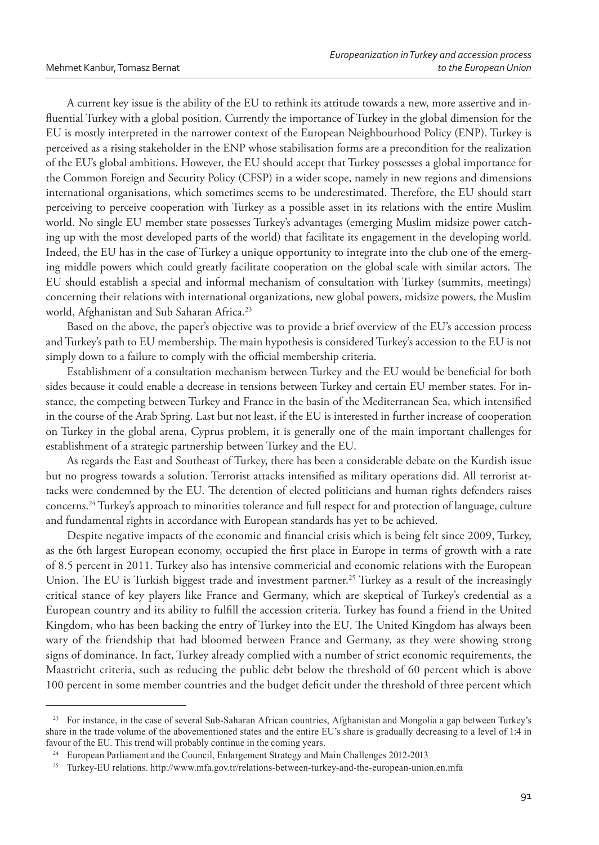A current key issue is the ability of the EU to rethink its attitude towards a new, more assertive and influential Turkey with a global position. Currently the importance of Turkey in the global dimension for the EU is mostly interpreted in the narrower context of the European Neighbourhood Policy (ENP). Turkey is perceived as a rising stakeholder in the ENP whose stabilisation forms are a precondition for the realization of the EU's global ambitions. However, the EU should accept that Turkey possesses a global importance for the Common Foreign and Security Policy (CFSP) in a wider scope, namely in new regions and dimensions international organisations, which sometimes seems to be underestimated. Therefore, the EU should start perceiving to perceive cooperation with Turkey as a possible asset in its relations with the entire Muslim world. No single EU member state possesses Turkey's advantages (emerging Muslim midsize power catching up with the most developed parts of the world) that facilitate its engagement in the developing world. Indeed, the EU has in the case of Turkey a unique opportunity to integrate into the club one of the emerging middle powers which could greatly facilitate cooperation on the global scale with similar actors. The EU should establish a special and informal mechanism of consultation with Turkey (summits, meetings) concerning their relations with international organizations, new global powers, midsize powers, the Muslim world, Afghanistan and Sub Saharan Africa.<sup>23</sup>

Based on the above, the paper's objective was to provide a brief overview of the EU's accession process and Turkey's path to EU membership. The main hypothesis is considered Turkey's accession to the EU is not simply down to a failure to comply with the official membership criteria.

Establishment of a consultation mechanism between Turkey and the EU would be beneficial for both sides because it could enable a decrease in tensions between Turkey and certain EU member states. For instance, the competing between Turkey and France in the basin of the Mediterranean Sea, which intensified in the course of the Arab Spring. Last but not least, if the EU is interested in further increase of cooperation on Turkey in the global arena, Cyprus problem, it is generally one of the main important challenges for establishment of a strategic partnership between Turkey and the EU.

As regards the East and Southeast of Turkey, there has been a considerable debate on the Kurdish issue but no progress towards a solution. Terrorist attacks intensified as military operations did. All terrorist attacks were condemned by the EU. The detention of elected politicians and human rights defenders raises concerns.<sup>24</sup> Turkey's approach to minorities tolerance and full respect for and protection of language, culture and fundamental rights in accordance with European standards has yet to be achieved.

Despite negative impacts of the economic and financial crisis which is being felt since 2009, Turkey, as the 6th largest European economy, occupied the first place in Europe in terms of growth with a rate of 8.5 percent in 2011. Turkey also has intensive commericial and economic relations with the European Union. The EU is Turkish biggest trade and investment partner.<sup>25</sup> Turkey as a result of the increasingly critical stance of key players like France and Germany, which are skeptical of Turkey's credential as a European country and its ability to fulfill the accession criteria. Turkey has found a friend in the United Kingdom, who has been backing the entry of Turkey into the EU. The United Kingdom has always been wary of the friendship that had bloomed between France and Germany, as they were showing strong signs of dominance. In fact, Turkey already complied with a number of strict economic requirements, the Maastricht criteria, such as reducing the public debt below the threshold of 60 percent which is above 100 percent in some member countries and the budget deficit under the threshold of three percent which

<sup>&</sup>lt;sup>23</sup> For instance, in the case of several Sub-Saharan African countries, Afghanistan and Mongolia a gap between Turkey's share in the trade volume of the abovementioned states and the entire EU's share is gradually decreasing to a level of 1:4 in favour of the EU. This trend will probably continue in the coming years.

<sup>&</sup>lt;sup>24</sup> European Parliament and the Council, Enlargement Strategy and Main Challenges 2012-2013

<sup>&</sup>lt;sup>25</sup> Turkey-EU relations. http://www.mfa.gov.tr/relations-between-turkey-and-the-european-union.en.mfa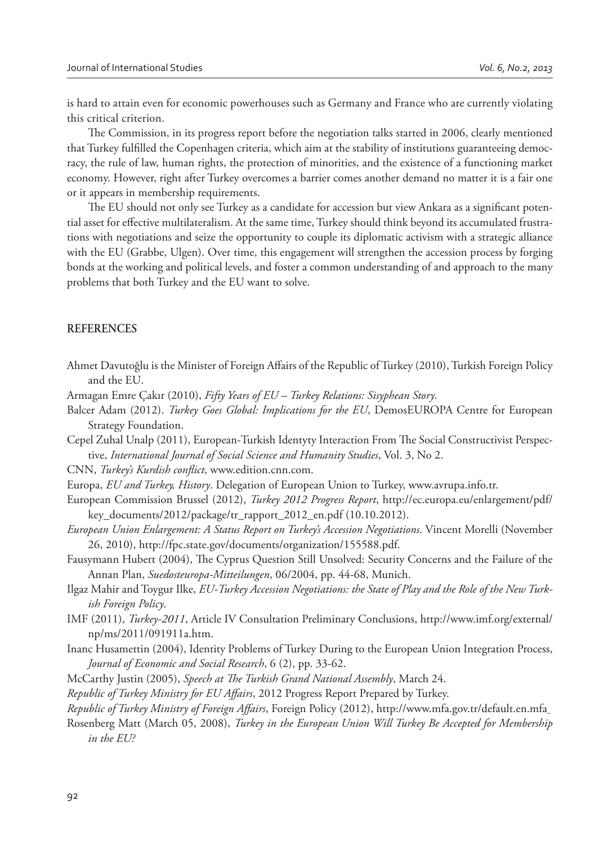is hard to attain even for economic powerhouses such as Germany and France who are currently violating this critical criterion.

The Commission, in its progress report before the negotiation talks started in 2006, clearly mentioned that Turkey fulfilled the Copenhagen criteria, which aim at the stability of institutions guaranteeing democracy, the rule of law, human rights, the protection of minorities, and the existence of a functioning market economy. However, right after Turkey overcomes a barrier comes another demand no matter it is a fair one or it appears in membership requirements.

The EU should not only see Turkey as a candidate for accession but view Ankara as a significant potential asset for effective multilateralism. At the same time, Turkey should think beyond its accumulated frustrations with negotiations and seize the opportunity to couple its diplomatic activism with a strategic alliance with the EU (Grabbe, Ulgen). Over time, this engagement will strengthen the accession process by forging bonds at the working and political levels, and foster a common understanding of and approach to the many problems that both Turkey and the EU want to solve.

#### **REFERENCES**

- Ahmet Davutoğlu is the Minister of Foreign Affairs of the Republic of Turkey (2010), Turkish Foreign Policy and the EU.
- Armagan Emre Çakır (2010), *Fifty Years of EU Turkey Relations: Sisyphean Story*.
- Balcer Adam (2012). *Turkey Goes Global: Implications for the EU*, DemosEUROPA Centre for European Strategy Foundation.
- Cepel Zuhal Unalp (2011), European-Turkish Identyty Interaction From The Social Constructivist Perspective, *International Journal of Social Science and Humanity Studies*, Vol. 3, No 2.

CNN, *Turkey's Kurdish conflict*, www.edition.cnn.com.

- Europa, *EU and Turkey, History*. Delegation of European Union to Turkey, www.avrupa.info.tr.
- European Commission Brussel (2012), *Turkey 2012 Progress Report*, http://ec.europa.eu/enlargement/pdf/ key\_documents/2012/package/tr\_rapport\_2012\_en.pdf (10.10.2012).
- *European Union Enlargement: A Status Report on Turkey's Accession Negotiations*. Vincent Morelli (November 26, 2010), http://fpc.state.gov/documents/organization/155588.pdf.
- Fausymann Hubert (2004), The Cyprus Question Still Unsolved: Security Concerns and the Failure of the Annan Plan, *Suedosteuropa-Mitteilungen*, 06/2004, pp. 44-68, Munich.
- Ilgaz Mahir and Toygur Ilke, *EU-Turkey Accession Negotiations: the State of Play and the Role of the New Turkish Foreign Policy*.
- IMF (2011), *Turkey-2011*, Article IV Consultation Preliminary Conclusions, http://www.imf.org/external/ np/ms/2011/091911a.htm.
- Inanc Husamettin (2004), Identity Problems of Turkey During to the European Union Integration Process, *Journal of Economic and Social Research*, 6 (2), pp. 33-62.
- McCarthy Justin (2005), *Speech at \$ e Turkish Grand National Assembly*, March 24.
- *Republic of Turkey Ministry for EU Affairs*, 2012 Progress Report Prepared by Turkey.
- *Republic of Turkey Ministry of Foreign Affairs*, Foreign Policy (2012), http://www.mfa.gov.tr/default.en.mfa
- Rosenberg Matt (March 05, 2008), *Turkey in the European Union Will Turkey Be Accepted for Membership in the EU?*